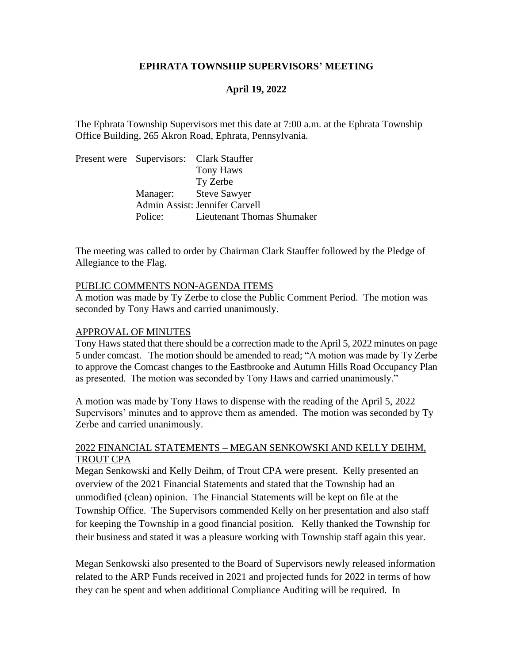### **EPHRATA TOWNSHIP SUPERVISORS' MEETING**

## **April 19, 2022**

The Ephrata Township Supervisors met this date at 7:00 a.m. at the Ephrata Township Office Building, 265 Akron Road, Ephrata, Pennsylvania.

Present were Supervisors: Clark Stauffer Tony Haws Ty Zerbe Manager: Steve Sawyer Admin Assist: Jennifer Carvell Police: Lieutenant Thomas Shumaker

The meeting was called to order by Chairman Clark Stauffer followed by the Pledge of Allegiance to the Flag.

#### PUBLIC COMMENTS NON-AGENDA ITEMS

A motion was made by Ty Zerbe to close the Public Comment Period. The motion was seconded by Tony Haws and carried unanimously.

#### APPROVAL OF MINUTES

Tony Haws stated that there should be a correction made to the April 5, 2022 minutes on page 5 under comcast. The motion should be amended to read; "A motion was made by Ty Zerbe to approve the Comcast changes to the Eastbrooke and Autumn Hills Road Occupancy Plan as presented. The motion was seconded by Tony Haws and carried unanimously."

A motion was made by Tony Haws to dispense with the reading of the April 5, 2022 Supervisors' minutes and to approve them as amended. The motion was seconded by Ty Zerbe and carried unanimously.

### 2022 FINANCIAL STATEMENTS – MEGAN SENKOWSKI AND KELLY DEIHM, TROUT CPA

Megan Senkowski and Kelly Deihm, of Trout CPA were present. Kelly presented an overview of the 2021 Financial Statements and stated that the Township had an unmodified (clean) opinion. The Financial Statements will be kept on file at the Township Office. The Supervisors commended Kelly on her presentation and also staff for keeping the Township in a good financial position. Kelly thanked the Township for their business and stated it was a pleasure working with Township staff again this year.

Megan Senkowski also presented to the Board of Supervisors newly released information related to the ARP Funds received in 2021 and projected funds for 2022 in terms of how they can be spent and when additional Compliance Auditing will be required. In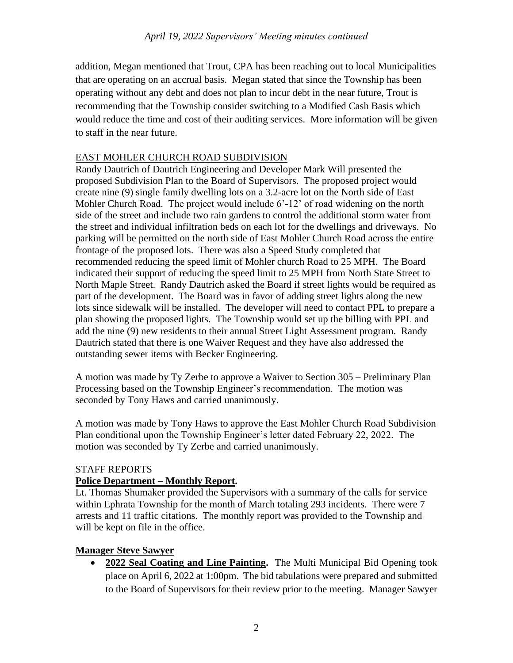addition, Megan mentioned that Trout, CPA has been reaching out to local Municipalities that are operating on an accrual basis. Megan stated that since the Township has been operating without any debt and does not plan to incur debt in the near future, Trout is recommending that the Township consider switching to a Modified Cash Basis which would reduce the time and cost of their auditing services. More information will be given to staff in the near future.

# EAST MOHLER CHURCH ROAD SUBDIVISION

Randy Dautrich of Dautrich Engineering and Developer Mark Will presented the proposed Subdivision Plan to the Board of Supervisors. The proposed project would create nine (9) single family dwelling lots on a 3.2-acre lot on the North side of East Mohler Church Road. The project would include 6'-12' of road widening on the north side of the street and include two rain gardens to control the additional storm water from the street and individual infiltration beds on each lot for the dwellings and driveways. No parking will be permitted on the north side of East Mohler Church Road across the entire frontage of the proposed lots. There was also a Speed Study completed that recommended reducing the speed limit of Mohler church Road to 25 MPH. The Board indicated their support of reducing the speed limit to 25 MPH from North State Street to North Maple Street. Randy Dautrich asked the Board if street lights would be required as part of the development. The Board was in favor of adding street lights along the new lots since sidewalk will be installed. The developer will need to contact PPL to prepare a plan showing the proposed lights. The Township would set up the billing with PPL and add the nine (9) new residents to their annual Street Light Assessment program. Randy Dautrich stated that there is one Waiver Request and they have also addressed the outstanding sewer items with Becker Engineering.

A motion was made by Ty Zerbe to approve a Waiver to Section 305 – Preliminary Plan Processing based on the Township Engineer's recommendation. The motion was seconded by Tony Haws and carried unanimously.

A motion was made by Tony Haws to approve the East Mohler Church Road Subdivision Plan conditional upon the Township Engineer's letter dated February 22, 2022. The motion was seconded by Ty Zerbe and carried unanimously.

## STAFF REPORTS

# **Police Department – Monthly Report.**

Lt. Thomas Shumaker provided the Supervisors with a summary of the calls for service within Ephrata Township for the month of March totaling 293 incidents. There were 7 arrests and 11 traffic citations. The monthly report was provided to the Township and will be kept on file in the office.

# **Manager Steve Sawyer**

• **2022 Seal Coating and Line Painting.** The Multi Municipal Bid Opening took place on April 6, 2022 at 1:00pm. The bid tabulations were prepared and submitted to the Board of Supervisors for their review prior to the meeting. Manager Sawyer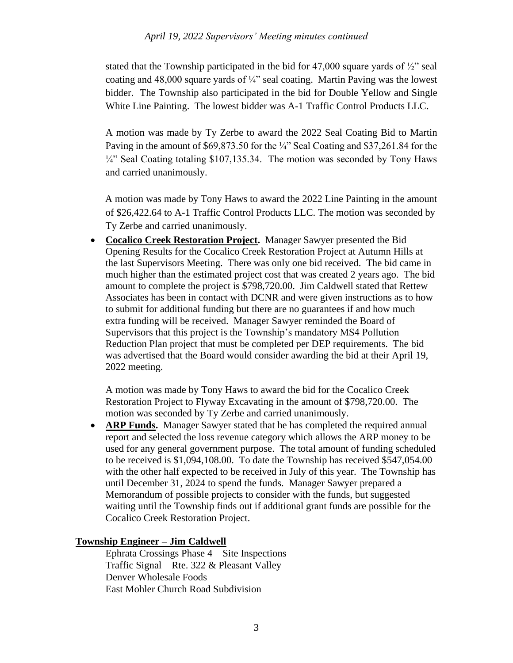### *April 19, 2022 Supervisors' Meeting minutes continued*

stated that the Township participated in the bid for  $47,000$  square yards of  $\frac{1}{2}$  seal coating and 48,000 square yards of  $\frac{1}{4}$ " seal coating. Martin Paving was the lowest bidder. The Township also participated in the bid for Double Yellow and Single White Line Painting. The lowest bidder was A-1 Traffic Control Products LLC.

A motion was made by Ty Zerbe to award the 2022 Seal Coating Bid to Martin Paving in the amount of \$69,873.50 for the ¼" Seal Coating and \$37,261.84 for the ¼" Seal Coating totaling \$107,135.34. The motion was seconded by Tony Haws and carried unanimously.

A motion was made by Tony Haws to award the 2022 Line Painting in the amount of \$26,422.64 to A-1 Traffic Control Products LLC. The motion was seconded by Ty Zerbe and carried unanimously.

• **Cocalico Creek Restoration Project.** Manager Sawyer presented the Bid Opening Results for the Cocalico Creek Restoration Project at Autumn Hills at the last Supervisors Meeting. There was only one bid received. The bid came in much higher than the estimated project cost that was created 2 years ago. The bid amount to complete the project is \$798,720.00. Jim Caldwell stated that Rettew Associates has been in contact with DCNR and were given instructions as to how to submit for additional funding but there are no guarantees if and how much extra funding will be received. Manager Sawyer reminded the Board of Supervisors that this project is the Township's mandatory MS4 Pollution Reduction Plan project that must be completed per DEP requirements. The bid was advertised that the Board would consider awarding the bid at their April 19, 2022 meeting.

A motion was made by Tony Haws to award the bid for the Cocalico Creek Restoration Project to Flyway Excavating in the amount of \$798,720.00. The motion was seconded by Ty Zerbe and carried unanimously.

• **ARP Funds.** Manager Sawyer stated that he has completed the required annual report and selected the loss revenue category which allows the ARP money to be used for any general government purpose. The total amount of funding scheduled to be received is \$1,094,108.00. To date the Township has received \$547,054.00 with the other half expected to be received in July of this year. The Township has until December 31, 2024 to spend the funds. Manager Sawyer prepared a Memorandum of possible projects to consider with the funds, but suggested waiting until the Township finds out if additional grant funds are possible for the Cocalico Creek Restoration Project.

### **Township Engineer – Jim Caldwell**

Ephrata Crossings Phase 4 – Site Inspections Traffic Signal – Rte. 322 & Pleasant Valley Denver Wholesale Foods East Mohler Church Road Subdivision